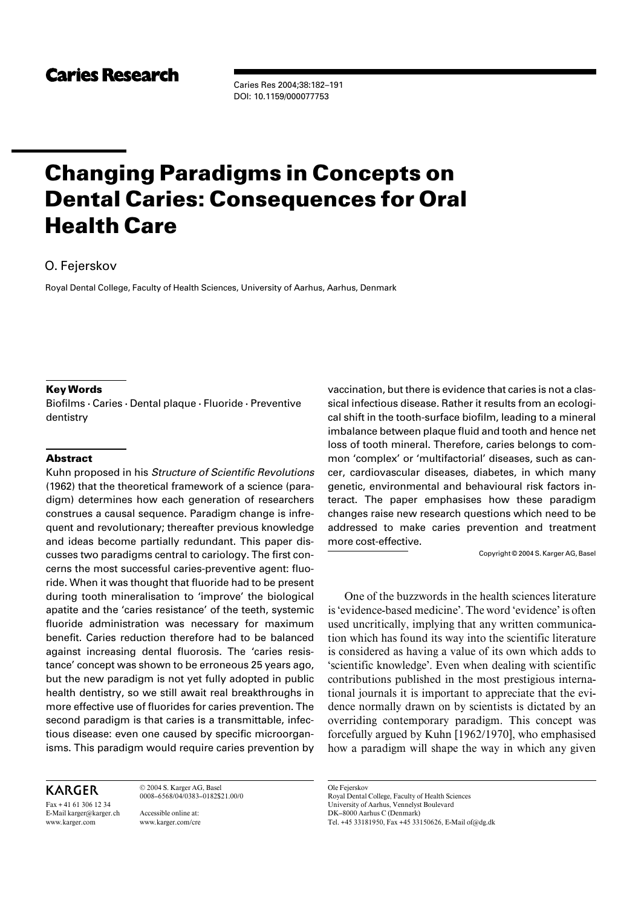# **Caries Research**

Caries Res 2004;38:182–191 DOI: 10.1159/000077753

# **Changing Paradigms in Concepts on Dental Caries: Consequences for Oral Health Care**

# O. Fejerskov

Royal Dental College, Faculty of Health Sciences, University of Aarhus, Aarhus, Denmark

#### **Key Words**

Biofilms · Caries · Dental plaque · Fluoride · Preventive dentistry

### **Abstract**

Kuhn proposed in his *Structure of Scientific Revolutions* (1962) that the theoretical framework of a science (paradigm) determines how each generation of researchers construes a causal sequence. Paradigm change is infrequent and revolutionary; thereafter previous knowledge and ideas become partially redundant. This paper discusses two paradigms central to cariology. The first concerns the most successful caries-preventive agent: fluoride. When it was thought that fluoride had to be present during tooth mineralisation to 'improve' the biological apatite and the 'caries resistance' of the teeth, systemic fluoride administration was necessary for maximum benefit. Caries reduction therefore had to be balanced against increasing dental fluorosis. The 'caries resistance' concept was shown to be erroneous 25 years ago, but the new paradigm is not yet fully adopted in public health dentistry, so we still await real breakthroughs in more effective use of fluorides for caries prevention. The second paradigm is that caries is a transmittable, infectious disease: even one caused by specific microorganisms. This paradigm would require caries prevention by

# KARGER

Fax + 41 61 306 12 34 E-Mail karger@karger.ch www.karger.com

© 2004 S. Karger AG, Basel 0008–6568/04/0383–0182\$21.00/0 Accessible online at: www.karger.com/cre

vaccination, but there is evidence that caries is not a classical infectious disease. Rather it results from an ecological shift in the tooth-surface biofilm, leading to a mineral imbalance between plaque fluid and tooth and hence net loss of tooth mineral. Therefore, caries belongs to common 'complex' or 'multifactorial' diseases, such as cancer, cardiovascular diseases, diabetes, in which many genetic, environmental and behavioural risk factors interact. The paper emphasises how these paradigm changes raise new research questions which need to be addressed to make caries prevention and treatment more cost-effective.

Copyright © 2004 S. Karger AG, Basel

One of the buzzwords in the health sciences literature is 'evidence-based medicine'. The word 'evidence' is often used uncritically, implying that any written communication which has found its way into the scientific literature is considered as having a value of its own which adds to 'scientific knowledge'. Even when dealing with scientific contributions published in the most prestigious international journals it is important to appreciate that the evidence normally drawn on by scientists is dictated by an overriding contemporary paradigm. This concept was forcefully argued by Kuhn [1962/1970], who emphasised how a paradigm will shape the way in which any given

Ole Fejerskov

Royal Dental College, Faculty of Health Sciences University of Aarhus, Vennelyst Boulevard DK–8000 Aarhus C (Denmark) Tel. +45 33181950, Fax +45 33150626, E-Mail of@dg.dk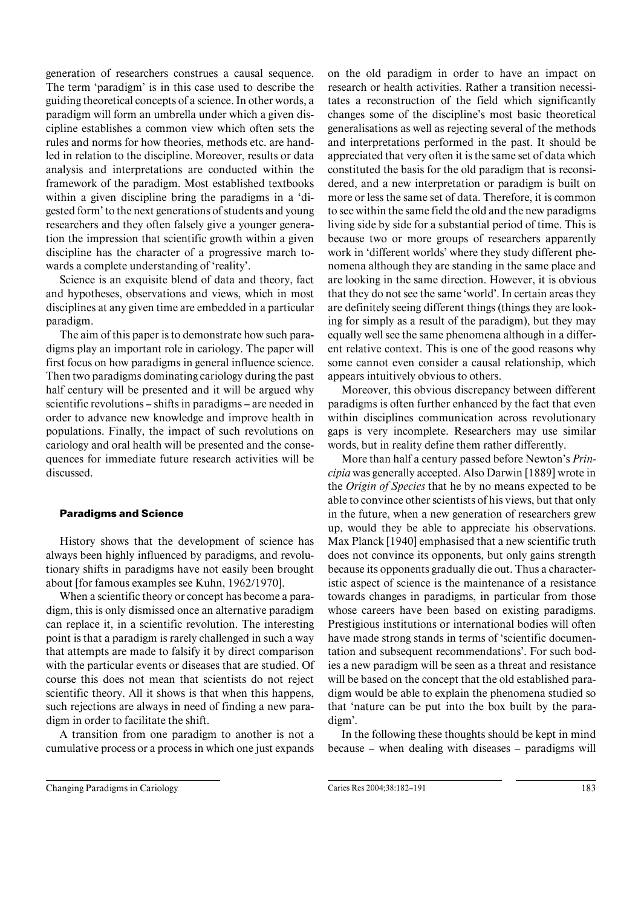generation of researchers construes a causal sequence. The term 'paradigm' is in this case used to describe the guiding theoretical concepts of a science. In other words, a paradigm will form an umbrella under which a given discipline establishes a common view which often sets the rules and norms for how theories, methods etc. are handled in relation to the discipline. Moreover, results or data analysis and interpretations are conducted within the framework of the paradigm. Most established textbooks within a given discipline bring the paradigms in a 'digested form' to the next generations of students and young researchers and they often falsely give a younger generation the impression that scientific growth within a given discipline has the character of a progressive march towards a complete understanding of 'reality'.

Science is an exquisite blend of data and theory, fact and hypotheses, observations and views, which in most disciplines at any given time are embedded in a particular paradigm.

The aim of this paper is to demonstrate how such paradigms play an important role in cariology. The paper will first focus on how paradigms in general influence science. Then two paradigms dominating cariology during the past half century will be presented and it will be argued why scientific revolutions – shifts in paradigms – are needed in order to advance new knowledge and improve health in populations. Finally, the impact of such revolutions on cariology and oral health will be presented and the consequences for immediate future research activities will be discussed.

#### **Paradigms and Science**

History shows that the development of science has always been highly influenced by paradigms, and revolutionary shifts in paradigms have not easily been brought about [for famous examples see Kuhn, 1962/1970].

When a scientific theory or concept has become a paradigm, this is only dismissed once an alternative paradigm can replace it, in a scientific revolution. The interesting point is that a paradigm is rarely challenged in such a way that attempts are made to falsify it by direct comparison with the particular events or diseases that are studied. Of course this does not mean that scientists do not reject scientific theory. All it shows is that when this happens, such rejections are always in need of finding a new paradigm in order to facilitate the shift.

A transition from one paradigm to another is not a cumulative process or a process in which one just expands on the old paradigm in order to have an impact on research or health activities. Rather a transition necessitates a reconstruction of the field which significantly changes some of the discipline's most basic theoretical generalisations as well as rejecting several of the methods and interpretations performed in the past. It should be appreciated that very often it is the same set of data which constituted the basis for the old paradigm that is reconsidered, and a new interpretation or paradigm is built on more or less the same set of data. Therefore, it is common to see within the same field the old and the new paradigms living side by side for a substantial period of time. This is because two or more groups of researchers apparently work in 'different worlds' where they study different phenomena although they are standing in the same place and are looking in the same direction. However, it is obvious that they do not see the same 'world'. In certain areas they are definitely seeing different things (things they are looking for simply as a result of the paradigm), but they may equally well see the same phenomena although in a different relative context. This is one of the good reasons why some cannot even consider a causal relationship, which appears intuitively obvious to others.

Moreover, this obvious discrepancy between different paradigms is often further enhanced by the fact that even within disciplines communication across revolutionary gaps is very incomplete. Researchers may use similar words, but in reality define them rather differently.

More than half a century passed before Newton's *Principia* was generally accepted. Also Darwin [1889] wrote in the *Origin of Species* that he by no means expected to be able to convince other scientists of his views, but that only in the future, when a new generation of researchers grew up, would they be able to appreciate his observations. Max Planck [1940] emphasised that a new scientific truth does not convince its opponents, but only gains strength because its opponents gradually die out. Thus a characteristic aspect of science is the maintenance of a resistance towards changes in paradigms, in particular from those whose careers have been based on existing paradigms. Prestigious institutions or international bodies will often have made strong stands in terms of 'scientific documentation and subsequent recommendations'. For such bodies a new paradigm will be seen as a threat and resistance will be based on the concept that the old established paradigm would be able to explain the phenomena studied so that 'nature can be put into the box built by the paradigm'.

In the following these thoughts should be kept in mind because – when dealing with diseases – paradigms will

Changing Paradigms in Cariology Caries Res 2004;38:182–191 183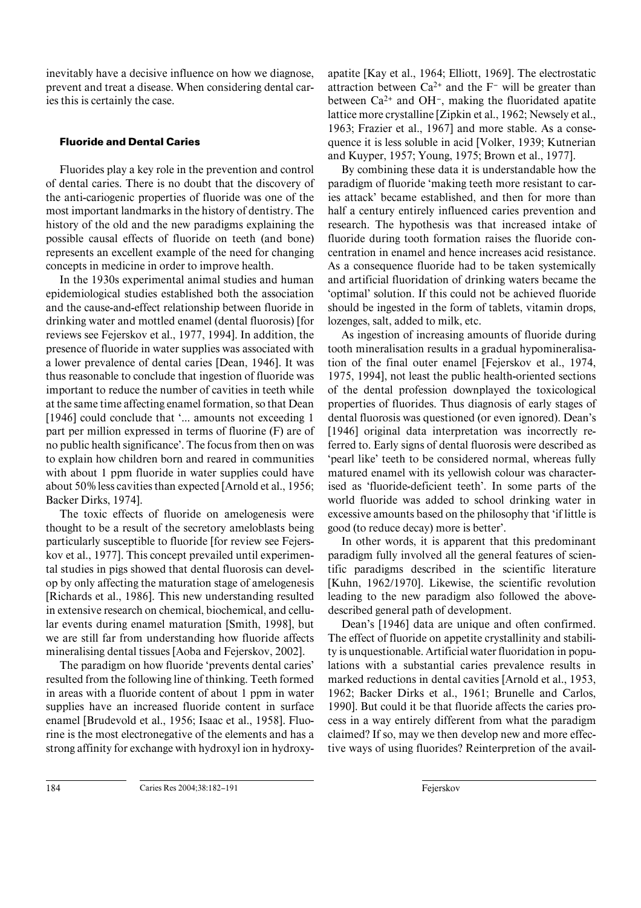inevitably have a decisive influence on how we diagnose, prevent and treat a disease. When considering dental caries this is certainly the case.

## **Fluoride and Dental Caries**

Fluorides play a key role in the prevention and control of dental caries. There is no doubt that the discovery of the anti-cariogenic properties of fluoride was one of the most important landmarks in the history of dentistry. The history of the old and the new paradigms explaining the possible causal effects of fluoride on teeth (and bone) represents an excellent example of the need for changing concepts in medicine in order to improve health.

In the 1930s experimental animal studies and human epidemiological studies established both the association and the cause-and-effect relationship between fluoride in drinking water and mottled enamel (dental fluorosis) [for reviews see Fejerskov et al., 1977, 1994]. In addition, the presence of fluoride in water supplies was associated with a lower prevalence of dental caries [Dean, 1946]. It was thus reasonable to conclude that ingestion of fluoride was important to reduce the number of cavities in teeth while at the same time affecting enamel formation, so that Dean [1946] could conclude that '... amounts not exceeding 1 part per million expressed in terms of fluorine (F) are of no public health significance'. The focus from then on was to explain how children born and reared in communities with about 1 ppm fluoride in water supplies could have about 50% less cavities than expected [Arnold et al., 1956; Backer Dirks, 1974].

The toxic effects of fluoride on amelogenesis were thought to be a result of the secretory ameloblasts being particularly susceptible to fluoride [for review see Fejerskov et al., 1977]. This concept prevailed until experimental studies in pigs showed that dental fluorosis can develop by only affecting the maturation stage of amelogenesis [Richards et al., 1986]. This new understanding resulted in extensive research on chemical, biochemical, and cellular events during enamel maturation [Smith, 1998], but we are still far from understanding how fluoride affects mineralising dental tissues [Aoba and Fejerskov, 2002].

The paradigm on how fluoride 'prevents dental caries' resulted from the following line of thinking. Teeth formed in areas with a fluoride content of about 1 ppm in water supplies have an increased fluoride content in surface enamel [Brudevold et al., 1956; Isaac et al., 1958]. Fluorine is the most electronegative of the elements and has a strong affinity for exchange with hydroxyl ion in hydroxyapatite [Kay et al., 1964; Elliott, 1969]. The electrostatic attraction between  $Ca^{2+}$  and the F<sup>-</sup> will be greater than between  $Ca^{2+}$  and OH<sup>-</sup>, making the fluoridated apatite lattice more crystalline [Zipkin et al., 1962; Newsely et al., 1963; Frazier et al., 1967] and more stable. As a consequence it is less soluble in acid [Volker, 1939; Kutnerian and Kuyper, 1957; Young, 1975; Brown et al., 1977].

By combining these data it is understandable how the paradigm of fluoride 'making teeth more resistant to caries attack' became established, and then for more than half a century entirely influenced caries prevention and research. The hypothesis was that increased intake of fluoride during tooth formation raises the fluoride concentration in enamel and hence increases acid resistance. As a consequence fluoride had to be taken systemically and artificial fluoridation of drinking waters became the 'optimal' solution. If this could not be achieved fluoride should be ingested in the form of tablets, vitamin drops, lozenges, salt, added to milk, etc.

As ingestion of increasing amounts of fluoride during tooth mineralisation results in a gradual hypomineralisation of the final outer enamel [Fejerskov et al., 1974, 1975, 1994], not least the public health-oriented sections of the dental profession downplayed the toxicological properties of fluorides. Thus diagnosis of early stages of dental fluorosis was questioned (or even ignored). Dean's [1946] original data interpretation was incorrectly referred to. Early signs of dental fluorosis were described as 'pearl like' teeth to be considered normal, whereas fully matured enamel with its yellowish colour was characterised as 'fluoride-deficient teeth'. In some parts of the world fluoride was added to school drinking water in excessive amounts based on the philosophy that 'if little is good (to reduce decay) more is better'.

In other words, it is apparent that this predominant paradigm fully involved all the general features of scientific paradigms described in the scientific literature [Kuhn, 1962/1970]. Likewise, the scientific revolution leading to the new paradigm also followed the abovedescribed general path of development.

Dean's [1946] data are unique and often confirmed. The effect of fluoride on appetite crystallinity and stability is unquestionable. Artificial water fluoridation in populations with a substantial caries prevalence results in marked reductions in dental cavities [Arnold et al., 1953, 1962; Backer Dirks et al., 1961; Brunelle and Carlos, 1990]. But could it be that fluoride affects the caries process in a way entirely different from what the paradigm claimed? If so, may we then develop new and more effective ways of using fluorides? Reinterpretion of the avail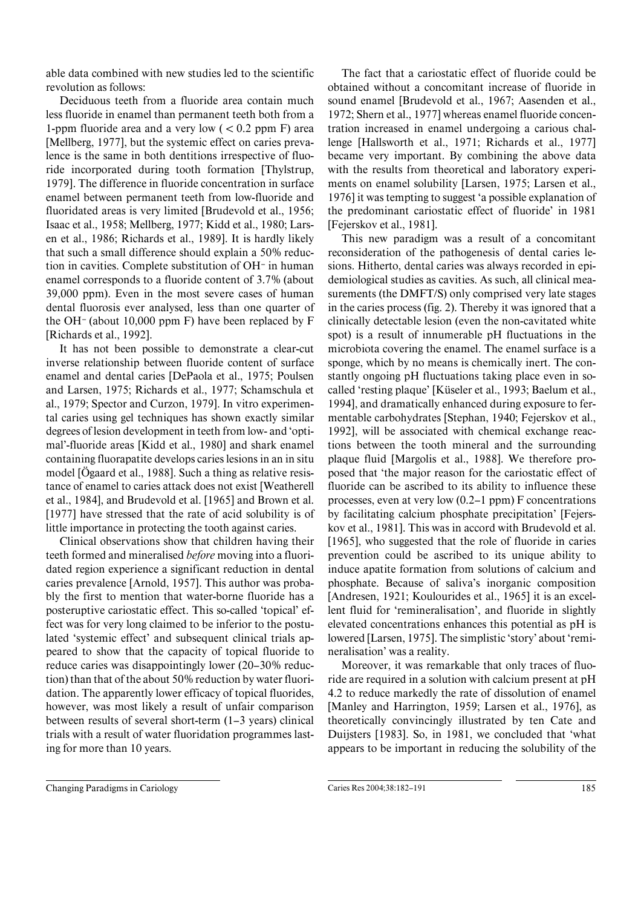able data combined with new studies led to the scientific revolution as follows:

Deciduous teeth from a fluoride area contain much less fluoride in enamel than permanent teeth both from a 1-ppm fluoride area and a very low  $(< 0.2$  ppm F) area [Mellberg, 1977], but the systemic effect on caries prevalence is the same in both dentitions irrespective of fluoride incorporated during tooth formation [Thylstrup, 1979]. The difference in fluoride concentration in surface enamel between permanent teeth from low-fluoride and fluoridated areas is very limited [Brudevold et al., 1956; Isaac et al., 1958; Mellberg, 1977; Kidd et al., 1980; Larsen et al., 1986; Richards et al., 1989]. It is hardly likely that such a small difference should explain a 50% reduction in cavities. Complete substitution of OH– in human enamel corresponds to a fluoride content of 3.7% (about 39,000 ppm). Even in the most severe cases of human dental fluorosis ever analysed, less than one quarter of the OH– (about 10,000 ppm F) have been replaced by F [Richards et al., 1992].

It has not been possible to demonstrate a clear-cut inverse relationship between fluoride content of surface enamel and dental caries [DePaola et al., 1975; Poulsen and Larsen, 1975; Richards et al., 1977; Schamschula et al., 1979; Spector and Curzon, 1979]. In vitro experimental caries using gel techniques has shown exactly similar degrees of lesion development in teeth from low- and 'optimal'-fluoride areas [Kidd et al., 1980] and shark enamel containing fluorapatite develops caries lesions in an in situ model [Ögaard et al., 1988]. Such a thing as relative resistance of enamel to caries attack does not exist [Weatherell et al., 1984], and Brudevold et al. [1965] and Brown et al. [1977] have stressed that the rate of acid solubility is of little importance in protecting the tooth against caries.

Clinical observations show that children having their teeth formed and mineralised *before* moving into a fluoridated region experience a significant reduction in dental caries prevalence [Arnold, 1957]. This author was probably the first to mention that water-borne fluoride has a posteruptive cariostatic effect. This so-called 'topical' effect was for very long claimed to be inferior to the postulated 'systemic effect' and subsequent clinical trials appeared to show that the capacity of topical fluoride to reduce caries was disappointingly lower (20–30% reduction) than that of the about 50% reduction by water fluoridation. The apparently lower efficacy of topical fluorides, however, was most likely a result of unfair comparison between results of several short-term (1–3 years) clinical trials with a result of water fluoridation programmes lasting for more than 10 years.

The fact that a cariostatic effect of fluoride could be obtained without a concomitant increase of fluoride in sound enamel [Brudevold et al., 1967; Aasenden et al., 1972; Shern et al., 1977] whereas enamel fluoride concentration increased in enamel undergoing a carious challenge [Hallsworth et al., 1971; Richards et al., 1977] became very important. By combining the above data with the results from theoretical and laboratory experiments on enamel solubility [Larsen, 1975; Larsen et al., 1976] it was tempting to suggest 'a possible explanation of the predominant cariostatic effect of fluoride' in 1981 [Fejerskov et al., 1981].

This new paradigm was a result of a concomitant reconsideration of the pathogenesis of dental caries lesions. Hitherto, dental caries was always recorded in epidemiological studies as cavities. As such, all clinical measurements (the DMFT/S) only comprised very late stages in the caries process (fig. 2). Thereby it was ignored that a clinically detectable lesion (even the non-cavitated white spot) is a result of innumerable pH fluctuations in the microbiota covering the enamel. The enamel surface is a sponge, which by no means is chemically inert. The constantly ongoing pH fluctuations taking place even in socalled 'resting plaque' [Küseler et al., 1993; Baelum et al., 1994], and dramatically enhanced during exposure to fermentable carbohydrates [Stephan, 1940; Fejerskov et al., 1992], will be associated with chemical exchange reactions between the tooth mineral and the surrounding plaque fluid [Margolis et al., 1988]. We therefore proposed that 'the major reason for the cariostatic effect of fluoride can be ascribed to its ability to influence these processes, even at very low (0.2–1 ppm) F concentrations by facilitating calcium phosphate precipitation' [Fejerskov et al., 1981]. This was in accord with Brudevold et al. [1965], who suggested that the role of fluoride in caries prevention could be ascribed to its unique ability to induce apatite formation from solutions of calcium and phosphate. Because of saliva's inorganic composition [Andresen, 1921; Koulourides et al., 1965] it is an excellent fluid for 'remineralisation', and fluoride in slightly elevated concentrations enhances this potential as pH is lowered [Larsen, 1975]. The simplistic 'story' about 'remineralisation' was a reality.

Moreover, it was remarkable that only traces of fluoride are required in a solution with calcium present at pH 4.2 to reduce markedly the rate of dissolution of enamel [Manley and Harrington, 1959; Larsen et al., 1976], as theoretically convincingly illustrated by ten Cate and Duijsters [1983]. So, in 1981, we concluded that 'what appears to be important in reducing the solubility of the

Changing Paradigms in Cariology Caries Res 2004;38:182–191 185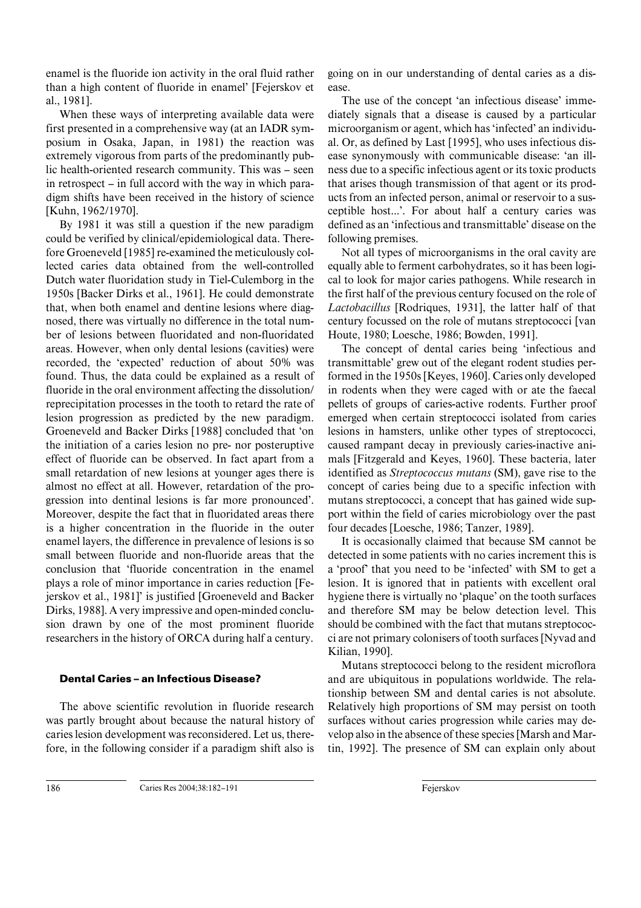enamel is the fluoride ion activity in the oral fluid rather than a high content of fluoride in enamel' [Fejerskov et al., 1981].

When these ways of interpreting available data were first presented in a comprehensive way (at an IADR symposium in Osaka, Japan, in 1981) the reaction was extremely vigorous from parts of the predominantly public health-oriented research community. This was – seen in retrospect – in full accord with the way in which paradigm shifts have been received in the history of science [Kuhn, 1962/1970].

By 1981 it was still a question if the new paradigm could be verified by clinical/epidemiological data. Therefore Groeneveld [1985] re-examined the meticulously collected caries data obtained from the well-controlled Dutch water fluoridation study in Tiel-Culemborg in the 1950s [Backer Dirks et al., 1961]. He could demonstrate that, when both enamel and dentine lesions where diagnosed, there was virtually no difference in the total number of lesions between fluoridated and non-fluoridated areas. However, when only dental lesions (cavities) were recorded, the 'expected' reduction of about 50% was found. Thus, the data could be explained as a result of fluoride in the oral environment affecting the dissolution/ reprecipitation processes in the tooth to retard the rate of lesion progression as predicted by the new paradigm. Groeneveld and Backer Dirks [1988] concluded that 'on the initiation of a caries lesion no pre- nor posteruptive effect of fluoride can be observed. In fact apart from a small retardation of new lesions at younger ages there is almost no effect at all. However, retardation of the progression into dentinal lesions is far more pronounced'. Moreover, despite the fact that in fluoridated areas there is a higher concentration in the fluoride in the outer enamel layers, the difference in prevalence of lesions is so small between fluoride and non-fluoride areas that the conclusion that 'fluoride concentration in the enamel plays a role of minor importance in caries reduction [Fejerskov et al., 1981]' is justified [Groeneveld and Backer Dirks, 1988]. A very impressive and open-minded conclusion drawn by one of the most prominent fluoride researchers in the history of ORCA during half a century.

# **Dental Caries – an Infectious Disease?**

The above scientific revolution in fluoride research was partly brought about because the natural history of caries lesion development was reconsidered. Let us, therefore, in the following consider if a paradigm shift also is

going on in our understanding of dental caries as a disease.

The use of the concept 'an infectious disease' immediately signals that a disease is caused by a particular microorganism or agent, which has 'infected' an individual. Or, as defined by Last [1995], who uses infectious disease synonymously with communicable disease: 'an illness due to a specific infectious agent or its toxic products that arises though transmission of that agent or its products from an infected person, animal or reservoir to a susceptible host...'. For about half a century caries was defined as an 'infectious and transmittable' disease on the following premises.

Not all types of microorganisms in the oral cavity are equally able to ferment carbohydrates, so it has been logical to look for major caries pathogens. While research in the first half of the previous century focused on the role of *Lactobacillus* [Rodriques, 1931], the latter half of that century focussed on the role of mutans streptococci [van Houte, 1980; Loesche, 1986; Bowden, 1991].

The concept of dental caries being 'infectious and transmittable' grew out of the elegant rodent studies performed in the 1950s [Keyes, 1960]. Caries only developed in rodents when they were caged with or ate the faecal pellets of groups of caries-active rodents. Further proof emerged when certain streptococci isolated from caries lesions in hamsters, unlike other types of streptococci, caused rampant decay in previously caries-inactive animals [Fitzgerald and Keyes, 1960]. These bacteria, later identified as *Streptococcus mutans* (SM), gave rise to the concept of caries being due to a specific infection with mutans streptococci, a concept that has gained wide support within the field of caries microbiology over the past four decades [Loesche, 1986; Tanzer, 1989].

It is occasionally claimed that because SM cannot be detected in some patients with no caries increment this is a 'proof' that you need to be 'infected' with SM to get a lesion. It is ignored that in patients with excellent oral hygiene there is virtually no 'plaque' on the tooth surfaces and therefore SM may be below detection level. This should be combined with the fact that mutans streptococci are not primary colonisers of tooth surfaces [Nyvad and Kilian, 1990].

Mutans streptococci belong to the resident microflora and are ubiquitous in populations worldwide. The relationship between SM and dental caries is not absolute. Relatively high proportions of SM may persist on tooth surfaces without caries progression while caries may develop also in the absence of these species [Marsh and Martin, 1992]. The presence of SM can explain only about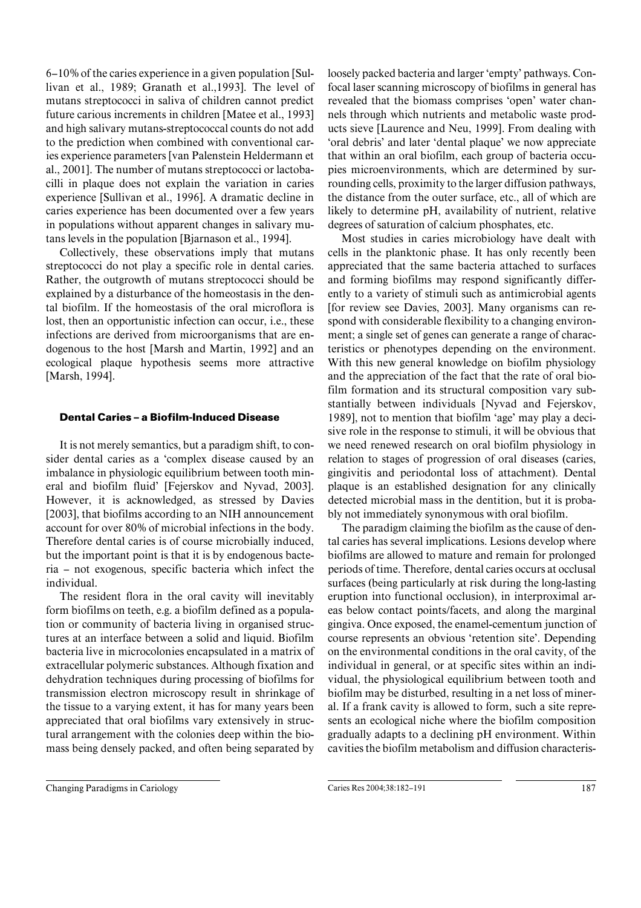6–10% of the caries experience in a given population [Sullivan et al., 1989; Granath et al.,1993]. The level of mutans streptococci in saliva of children cannot predict future carious increments in children [Matee et al., 1993] and high salivary mutans-streptococcal counts do not add to the prediction when combined with conventional caries experience parameters [van Palenstein Heldermann et al., 2001]. The number of mutans streptococci or lactobacilli in plaque does not explain the variation in caries experience [Sullivan et al., 1996]. A dramatic decline in caries experience has been documented over a few years in populations without apparent changes in salivary mutans levels in the population [Bjarnason et al., 1994].

Collectively, these observations imply that mutans streptococci do not play a specific role in dental caries. Rather, the outgrowth of mutans streptococci should be explained by a disturbance of the homeostasis in the dental biofilm. If the homeostasis of the oral microflora is lost, then an opportunistic infection can occur, i.e., these infections are derived from microorganisms that are endogenous to the host [Marsh and Martin, 1992] and an ecological plaque hypothesis seems more attractive [Marsh, 1994].

### **Dental Caries – a Biofilm-Induced Disease**

It is not merely semantics, but a paradigm shift, to consider dental caries as a 'complex disease caused by an imbalance in physiologic equilibrium between tooth mineral and biofilm fluid' [Fejerskov and Nyvad, 2003]. However, it is acknowledged, as stressed by Davies [2003], that biofilms according to an NIH announcement account for over 80% of microbial infections in the body. Therefore dental caries is of course microbially induced, but the important point is that it is by endogenous bacteria – not exogenous, specific bacteria which infect the individual.

The resident flora in the oral cavity will inevitably form biofilms on teeth, e.g. a biofilm defined as a population or community of bacteria living in organised structures at an interface between a solid and liquid. Biofilm bacteria live in microcolonies encapsulated in a matrix of extracellular polymeric substances. Although fixation and dehydration techniques during processing of biofilms for transmission electron microscopy result in shrinkage of the tissue to a varying extent, it has for many years been appreciated that oral biofilms vary extensively in structural arrangement with the colonies deep within the biomass being densely packed, and often being separated by

loosely packed bacteria and larger 'empty' pathways. Confocal laser scanning microscopy of biofilms in general has revealed that the biomass comprises 'open' water channels through which nutrients and metabolic waste products sieve [Laurence and Neu, 1999]. From dealing with 'oral debris' and later 'dental plaque' we now appreciate that within an oral biofilm, each group of bacteria occupies microenvironments, which are determined by surrounding cells, proximity to the larger diffusion pathways, the distance from the outer surface, etc., all of which are likely to determine pH, availability of nutrient, relative degrees of saturation of calcium phosphates, etc.

Most studies in caries microbiology have dealt with cells in the planktonic phase. It has only recently been appreciated that the same bacteria attached to surfaces and forming biofilms may respond significantly differently to a variety of stimuli such as antimicrobial agents [for review see Davies, 2003]. Many organisms can respond with considerable flexibility to a changing environment; a single set of genes can generate a range of characteristics or phenotypes depending on the environment. With this new general knowledge on biofilm physiology and the appreciation of the fact that the rate of oral biofilm formation and its structural composition vary substantially between individuals [Nyvad and Fejerskov, 1989], not to mention that biofilm 'age' may play a decisive role in the response to stimuli, it will be obvious that we need renewed research on oral biofilm physiology in relation to stages of progression of oral diseases (caries, gingivitis and periodontal loss of attachment). Dental plaque is an established designation for any clinically detected microbial mass in the dentition, but it is probably not immediately synonymous with oral biofilm.

The paradigm claiming the biofilm as the cause of dental caries has several implications. Lesions develop where biofilms are allowed to mature and remain for prolonged periods of time. Therefore, dental caries occurs at occlusal surfaces (being particularly at risk during the long-lasting eruption into functional occlusion), in interproximal areas below contact points/facets, and along the marginal gingiva. Once exposed, the enamel-cementum junction of course represents an obvious 'retention site'. Depending on the environmental conditions in the oral cavity, of the individual in general, or at specific sites within an individual, the physiological equilibrium between tooth and biofilm may be disturbed, resulting in a net loss of mineral. If a frank cavity is allowed to form, such a site represents an ecological niche where the biofilm composition gradually adapts to a declining pH environment. Within cavities the biofilm metabolism and diffusion characteris-

Changing Paradigms in Cariology Caries Res 2004;38:182–191 187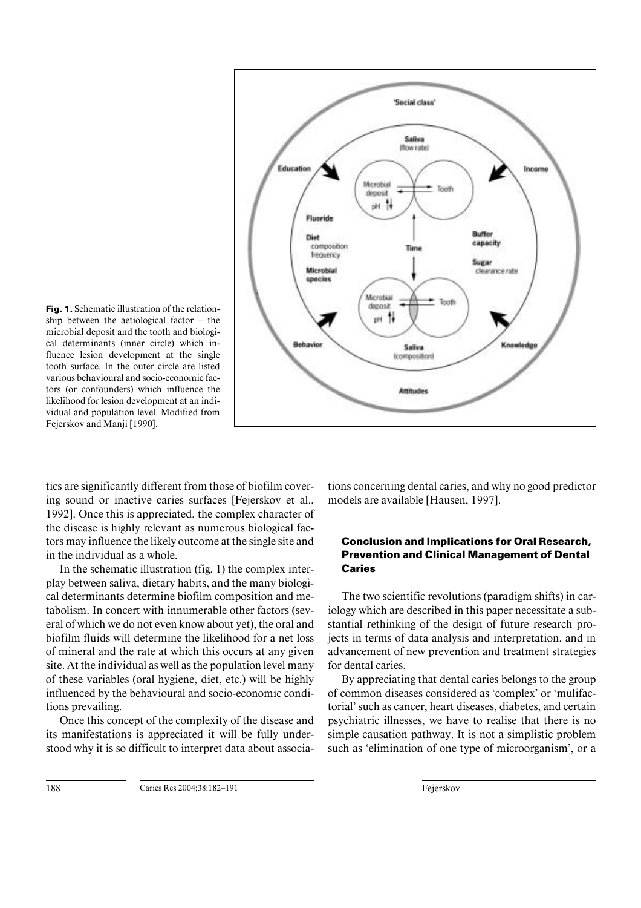

**Fig. 1.** Schematic illustration of the relationship between the aetiological factor – the microbial deposit and the tooth and biological determinants (inner circle) which influence lesion development at the single tooth surface. In the outer circle are listed various behavioural and socio-economic factors (or confounders) which influence the likelihood for lesion development at an individual and population level. Modified from Fejerskov and Manji [1990].

tics are significantly different from those of biofilm covering sound or inactive caries surfaces [Fejerskov et al., 1992]. Once this is appreciated, the complex character of the disease is highly relevant as numerous biological factors may influence the likely outcome at the single site and in the individual as a whole.

In the schematic illustration (fig. 1) the complex interplay between saliva, dietary habits, and the many biological determinants determine biofilm composition and metabolism. In concert with innumerable other factors (several of which we do not even know about yet), the oral and biofilm fluids will determine the likelihood for a net loss of mineral and the rate at which this occurs at any given site. At the individual as well as the population level many of these variables (oral hygiene, diet, etc.) will be highly influenced by the behavioural and socio-economic conditions prevailing.

Once this concept of the complexity of the disease and its manifestations is appreciated it will be fully understood why it is so difficult to interpret data about associations concerning dental caries, and why no good predictor models are available [Hausen, 1997].

# **Conclusion and Implications for Oral Research, Prevention and Clinical Management of Dental Caries**

The two scientific revolutions (paradigm shifts) in cariology which are described in this paper necessitate a substantial rethinking of the design of future research projects in terms of data analysis and interpretation, and in advancement of new prevention and treatment strategies for dental caries.

By appreciating that dental caries belongs to the group of common diseases considered as 'complex' or 'mulifactorial' such as cancer, heart diseases, diabetes, and certain psychiatric illnesses, we have to realise that there is no simple causation pathway. It is not a simplistic problem such as 'elimination of one type of microorganism', or a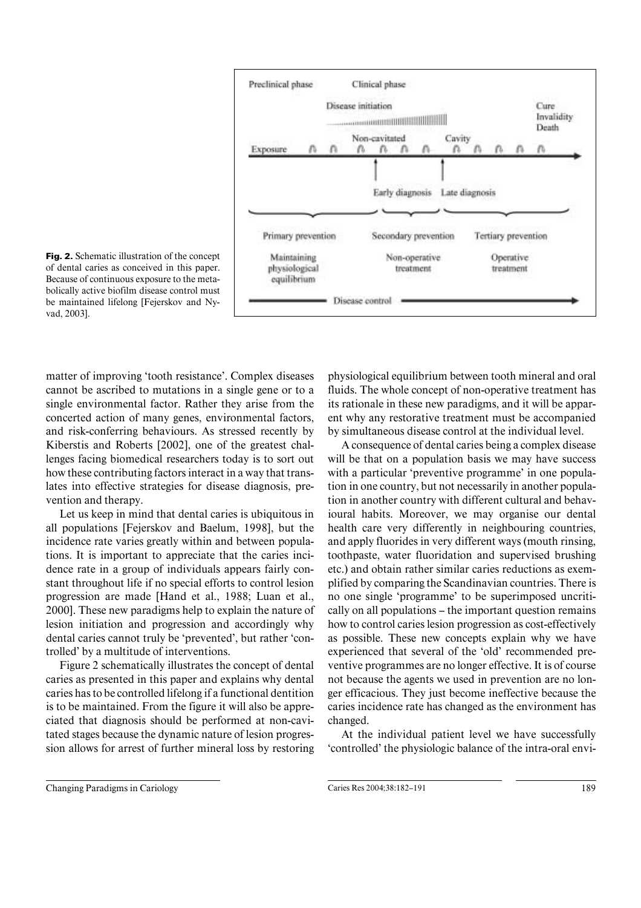

**Fig. 2.** Schematic illustration of the concept of dental caries as conceived in this paper. Because of continuous exposure to the metabolically active biofilm disease control must be maintained lifelong [Fejerskov and Nyvad, 2003].

matter of improving 'tooth resistance'. Complex diseases cannot be ascribed to mutations in a single gene or to a single environmental factor. Rather they arise from the concerted action of many genes, environmental factors, and risk-conferring behaviours. As stressed recently by Kiberstis and Roberts [2002], one of the greatest challenges facing biomedical researchers today is to sort out how these contributing factors interact in a way that translates into effective strategies for disease diagnosis, prevention and therapy.

Let us keep in mind that dental caries is ubiquitous in all populations [Fejerskov and Baelum, 1998], but the incidence rate varies greatly within and between populations. It is important to appreciate that the caries incidence rate in a group of individuals appears fairly constant throughout life if no special efforts to control lesion progression are made [Hand et al., 1988; Luan et al., 2000]. These new paradigms help to explain the nature of lesion initiation and progression and accordingly why dental caries cannot truly be 'prevented', but rather 'controlled' by a multitude of interventions.

Figure 2 schematically illustrates the concept of dental caries as presented in this paper and explains why dental caries has to be controlled lifelong if a functional dentition is to be maintained. From the figure it will also be appreciated that diagnosis should be performed at non-cavitated stages because the dynamic nature of lesion progression allows for arrest of further mineral loss by restoring physiological equilibrium between tooth mineral and oral fluids. The whole concept of non-operative treatment has its rationale in these new paradigms, and it will be apparent why any restorative treatment must be accompanied by simultaneous disease control at the individual level.

A consequence of dental caries being a complex disease will be that on a population basis we may have success with a particular 'preventive programme' in one population in one country, but not necessarily in another population in another country with different cultural and behavioural habits. Moreover, we may organise our dental health care very differently in neighbouring countries, and apply fluorides in very different ways (mouth rinsing, toothpaste, water fluoridation and supervised brushing etc.) and obtain rather similar caries reductions as exemplified by comparing the Scandinavian countries. There is no one single 'programme' to be superimposed uncritically on all populations – the important question remains how to control caries lesion progression as cost-effectively as possible. These new concepts explain why we have experienced that several of the 'old' recommended preventive programmes are no longer effective. It is of course not because the agents we used in prevention are no longer efficacious. They just become ineffective because the caries incidence rate has changed as the environment has changed.

At the individual patient level we have successfully 'controlled' the physiologic balance of the intra-oral envi-

Changing Paradigms in Cariology Caries Res 2004;38:182–191 189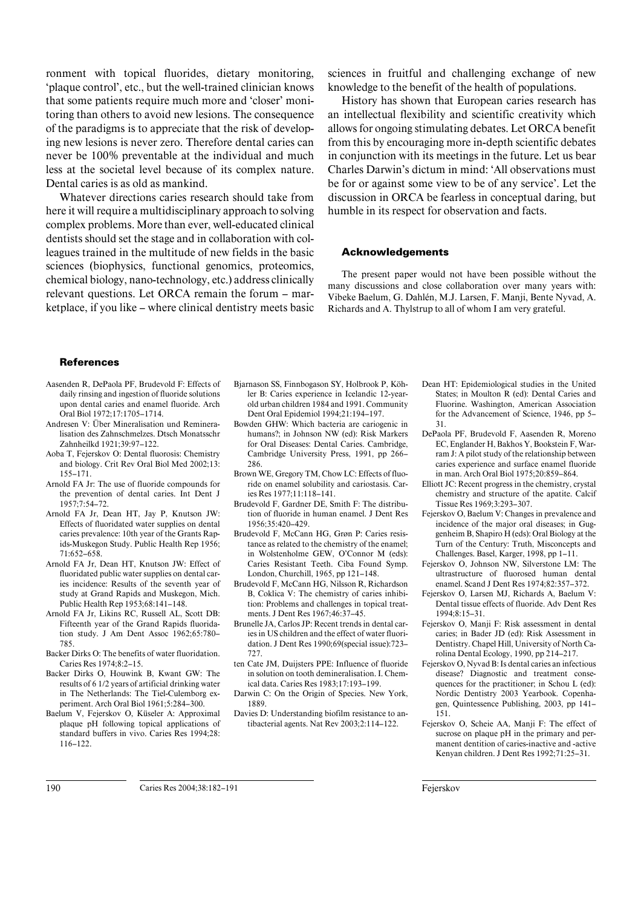ronment with topical fluorides, dietary monitoring, 'plaque control', etc., but the well-trained clinician knows that some patients require much more and 'closer' monitoring than others to avoid new lesions. The consequence of the paradigms is to appreciate that the risk of developing new lesions is never zero. Therefore dental caries can never be 100% preventable at the individual and much less at the societal level because of its complex nature. Dental caries is as old as mankind.

Whatever directions caries research should take from here it will require a multidisciplinary approach to solving complex problems. More than ever, well-educated clinical dentists should set the stage and in collaboration with colleagues trained in the multitude of new fields in the basic sciences (biophysics, functional genomics, proteomics, chemical biology, nano-technology, etc.) address clinically relevant questions. Let ORCA remain the forum – marketplace, if you like – where clinical dentistry meets basic sciences in fruitful and challenging exchange of new knowledge to the benefit of the health of populations.

History has shown that European caries research has an intellectual flexibility and scientific creativity which allows for ongoing stimulating debates. Let ORCA benefit from this by encouraging more in-depth scientific debates in conjunction with its meetings in the future. Let us bear Charles Darwin's dictum in mind: 'All observations must be for or against some view to be of any service'. Let the discussion in ORCA be fearless in conceptual daring, but humble in its respect for observation and facts.

#### **Acknowledgements**

The present paper would not have been possible without the many discussions and close collaboration over many years with: Vibeke Baelum, G. Dahlén, M.J. Larsen, F. Manji, Bente Nyvad, A. Richards and A. Thylstrup to all of whom I am very grateful.

#### **References**

- Aasenden R, DePaola PF, Brudevold F: Effects of daily rinsing and ingestion of fluoride solutions upon dental caries and enamel fluoride. Arch Oral Biol 1972;17:1705–1714.
- Andresen V: Über Mineralisation und Remineralisation des Zahnschmelzes. Dtsch Monatsschr Zahnheilkd 1921;39:97–122.
- Aoba T, Fejerskov O: Dental fluorosis: Chemistry and biology. Crit Rev Oral Biol Med 2002;13: 155–171.
- Arnold FA Jr: The use of fluoride compounds for the prevention of dental caries. Int Dent J 1957;7:54–72.
- Arnold FA Jr, Dean HT, Jay P, Knutson JW: Effects of fluoridated water supplies on dental caries prevalence: 10th year of the Grants Rapids-Muskegon Study. Public Health Rep 1956; 71:652–658.
- Arnold FA Jr, Dean HT, Knutson JW: Effect of fluoridated public water supplies on dental caries incidence: Results of the seventh year of study at Grand Rapids and Muskegon, Mich. Public Health Rep 1953;68:141–148.
- Arnold FA Jr, Likins RC, Russell AL, Scott DB: Fifteenth year of the Grand Rapids fluoridation study. J Am Dent Assoc 1962;65:780– 785.
- Backer Dirks O: The benefits of water fluoridation. Caries Res 1974;8:2–15.
- Backer Dirks O, Houwink B, Kwant GW: The results of 6 1/2 years of artificial drinking water in The Netherlands: The Tiel-Culemborg experiment. Arch Oral Biol 1961;5:284–300.
- Baelum V, Fejerskov O, Küseler A: Approximal plaque pH following topical applications of standard buffers in vivo. Caries Res 1994;28: 116–122.
- Bjarnason SS, Finnbogason SY, Holbrook P, Köhler B: Caries experience in Icelandic 12-yearold urban children 1984 and 1991. Community Dent Oral Epidemiol 1994;21:194–197.
- Bowden GHW: Which bacteria are cariogenic in humans?; in Johnson NW (ed): Risk Markers for Oral Diseases: Dental Caries. Cambridge, Cambridge University Press, 1991, pp 266– 286.
- Brown WE, Gregory TM, Chow LC: Effects of fluoride on enamel solubility and cariostasis. Caries Res 1977;11:118–141.
- Brudevold F, Gardner DE, Smith F: The distribution of fluoride in human enamel. J Dent Res 1956;35:420–429.
- Brudevold F, McCann HG, Grøn P: Caries resistance as related to the chemistry of the enamel; in Wolstenholme GEW, O'Connor M (eds): Caries Resistant Teeth. Ciba Found Symp. London, Churchill, 1965, pp 121–148.
- Brudevold F, McCann HG, Nilsson R, Richardson B, Coklica V: The chemistry of caries inhibition: Problems and challenges in topical treatments. J Dent Res 1967;46:37–45.
- Brunelle JA, Carlos JP: Recent trends in dental caries in US children and the effect of water fluoridation. J Dent Res 1990;69(special issue):723– 727.
- ten Cate JM, Duijsters PPE: Influence of fluoride in solution on tooth demineralisation. I. Chemical data. Caries Res 1983;17:193–199.
- Darwin C: On the Origin of Species. New York, 1889.
- Davies D: Understanding biofilm resistance to antibacterial agents. Nat Rev 2003;2:114–122.
- Dean HT: Epidemiological studies in the United States; in Moulton R (ed): Dental Caries and Fluorine. Washington, American Association for the Advancement of Science, 1946, pp 5– 31.
- DePaola PF, Brudevold F, Aasenden R, Moreno EC, Englander H, Bakhos Y, Bookstein F, Warram J: A pilot study of the relationship between caries experience and surface enamel fluoride in man. Arch Oral Biol 1975;20:859–864.
- Elliott JC: Recent progress in the chemistry, crystal chemistry and structure of the apatite. Calcif Tissue Res 1969;3:293–307.
- Fejerskov O, Baelum V: Changes in prevalence and incidence of the major oral diseases; in Guggenheim B, Shapiro H (eds): Oral Biology at the Turn of the Century: Truth, Misconcepts and Challenges. Basel, Karger, 1998, pp 1–11.
- Fejerskov O, Johnson NW, Silverstone LM: The ultrastructure of fluorosed human dental enamel. Scand J Dent Res 1974;82:357–372.
- Fejerskov O, Larsen MJ, Richards A, Baelum V: Dental tissue effects of fluoride. Adv Dent Res 1994;8:15–31.
- Fejerskov O, Manji F: Risk assessment in dental caries; in Bader JD (ed): Risk Assessment in Dentistry. Chapel Hill, University of North Carolina Dental Ecology, 1990, pp 214–217.
- Fejerskov O, Nyvad B: Is dental caries an infectious disease? Diagnostic and treatment consequences for the practitioner; in Schou L (ed): Nordic Dentistry 2003 Yearbook. Copenhagen, Quintessence Publishing, 2003, pp 141– 151.
- Fejerskov O, Scheie AA, Manji F: The effect of sucrose on plaque pH in the primary and permanent dentition of caries-inactive and -active Kenyan children. J Dent Res 1992;71:25–31.